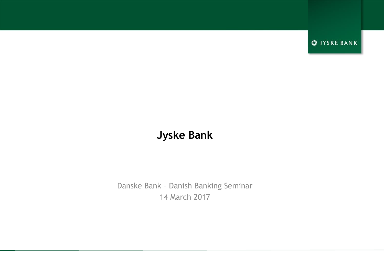**S** JYSKE BANK

### **Jyske Bank**

Danske Bank – Danish Banking Seminar 14 March 2017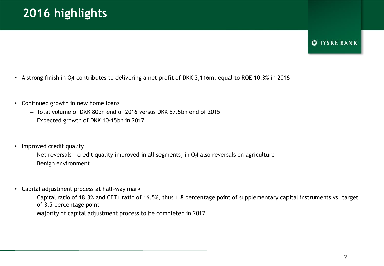### **S**IYSKE BANK

- A strong finish in Q4 contributes to delivering a net profit of DKK 3,116m, equal to ROE 10.3% in 2016
- Continued growth in new home loans
	- Total volume of DKK 80bn end of 2016 versus DKK 57.5bn end of 2015
	- Expected growth of DKK 10-15bn in 2017
- Improved credit quality
	- Net reversals credit quality improved in all segments, in Q4 also reversals on agriculture
	- Benign environment
- Capital adjustment process at half-way mark
	- Capital ratio of 18.3% and CET1 ratio of 16.5%, thus 1.8 percentage point of supplementary capital instruments vs. target of 3.5 percentage point
	- Majority of capital adjustment process to be completed in 2017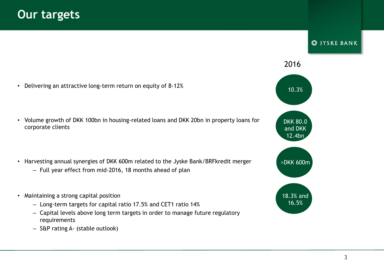• Delivering an attractive long-term return on equity of 8-12%

• Volume growth of DKK 100bn in housing-related loans and DKK 20bn in property loans for corporate clients

- Harvesting annual synergies of DKK 600m related to the Jyske Bank/BRFkredit merger
	- Full year effect from mid-2016, 18 months ahead of plan
- Maintaining a strong capital position
	- Long-term targets for capital ratio 17.5% and CET1 ratio 14%
	- Capital levels above long term targets in order to manage future regulatory requirements
	- S&P rating A- (stable outlook)

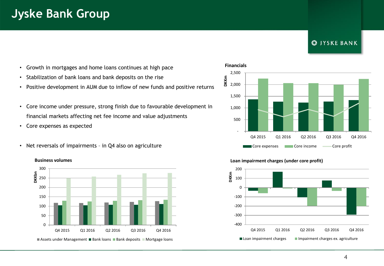### **S**IYSKE BANK

- Growth in mortgages and home loans continues at high pace
- Stabilization of bank loans and bank deposits on the rise
- Positive development in AUM due to inflow of new funds and positive returns
- Core income under pressure, strong finish due to favourable development in financial markets affecting net fee income and value adjustments
- Core expenses as expected

**Business volumes**

• Net reversals of impairments – in Q4 also on agriculture



Assets under Management **Bank loans Bank deposits Mortgage loans** 

#### **Financials**



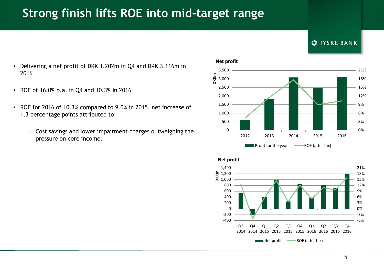# **Strong finish lifts ROE into mid-target range**



- Delivering a net profit of DKK 1,202m in Q4 and DKK 3,116m in 2016
- ROE of 16.0% p.a. in Q4 and 10.3% in 2016
- ROE for 2016 of 10.3% compared to 9.0% in 2015, net increase of 1.3 percentage points attributed to:
	- Cost savings and lower impairment charges outweighing the pressure on core income.





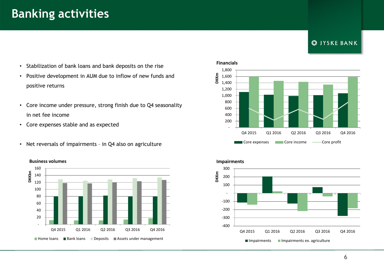### **Banking activities**

### **S** JYSKE BANK

- Stabilization of bank loans and bank deposits on the rise
- Positive development in AUM due to inflow of new funds and positive returns
- Core income under pressure, strong finish due to Q4 seasonality in net fee income
- Core expenses stable and as expected
- Net reversals of impairments in Q4 also on agriculture







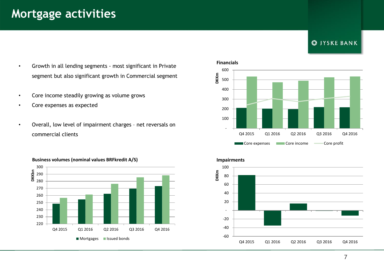## **Mortgage activities**

### **S** JYSKE BANK

- Growth in all lending segments most significant in Private segment but also significant growth in Commercial segment
- Core income steadily growing as volume grows
- Core expenses as expected
- Overall, low level of impairment charges net reversals on commercial clients









#### 7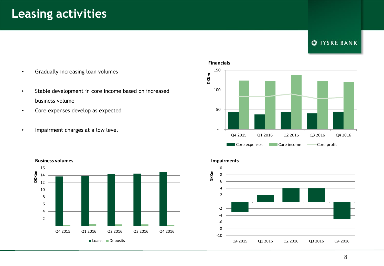### **Leasing activities**

### **S** JYSKE BANK

- Gradually increasing loan volumes
- Stable development in core income based on increased business volume
- Core expenses develop as expected
- Impairment charges at a low level



#### **Business volumes**



#### **Impairments**

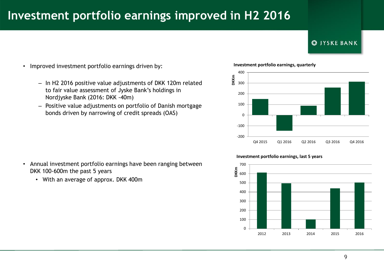# **Investment portfolio earnings improved in H2 2016**

### **S**IYSKE BANK

- Improved investment portfolio earnings driven by:
	- In H2 2016 positive value adjustments of DKK 120m related to fair value assessment of Jyske Bank's holdings in Nordjyske Bank (2016: DKK -40m)
	- Positive value adjustments on portfolio of Danish mortgage bonds driven by narrowing of credit spreads (OAS)





- Annual investment portfolio earnings have been ranging between DKK 100-600m the past 5 years
	- With an average of approx. DKK 400m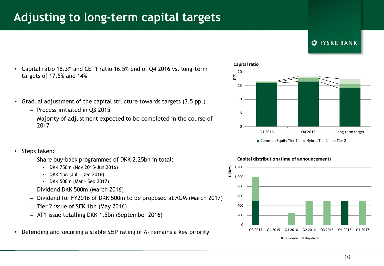## **Adjusting to long-term capital targets**



- Capital ratio 18.3% and CET1 ratio 16.5% end of Q4 2016 vs. long-term targets of 17.5% and 14%
- Gradual adjustment of the capital structure towards targets (3.5 pp.)
	- Process initiated in Q3 2015
	- Majority of adjustment expected to be completed in the course of 2017
- Steps taken:
	- Share buy-back programmes of DKK 2.25bn in total:
		- DKK 750m (Nov 2015-Jun 2016)
		- DKK 1bn (Jul Dec 2016)
		- DKK 500m (Mar Sep 2017)
	- Dividend DKK 500m (March 2016)
	- Dividend for FY2016 of DKK 500m to be proposed at AGM (March 2017)
	- Tier 2 issue of SEK 1bn (May 2016)
	- AT1 issue totalling DKK 1.5bn (September 2016)
- Defending and securing a stable S&P rating of A- remains a key priority



#### **Capital distribution (time of announcement)**

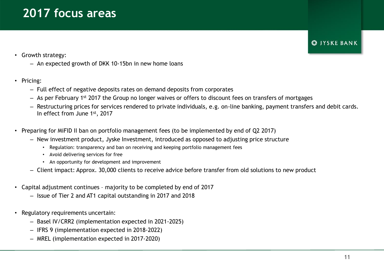# **2017 focus areas**

**S**IYSKE BANK

### • Growth strategy:

- An expected growth of DKK 10-15bn in new home loans
- Pricing:
	- Full effect of negative deposits rates on demand deposits from corporates
	- As per February 1st 2017 the Group no longer waives or offers to discount fees on transfers of mortgages
	- Restructuring prices for services rendered to private individuals, e.g. on-line banking, payment transfers and debit cards. In effect from June 1st, 2017
- Preparing for MiFID II ban on portfolio management fees (to be implemented by end of Q2 2017)
	- New investment product, Jyske Investment, introduced as opposed to adjusting price structure
		- Regulation: transparency and ban on receiving and keeping portfolio management fees
		- Avoid delivering services for free
		- An opportunity for development and improvement
	- Client impact: Approx. 30,000 clients to receive advice before transfer from old solutions to new product
- Capital adjustment continues majority to be completed by end of 2017
	- Issue of Tier 2 and AT1 capital outstanding in 2017 and 2018
- Regulatory requirements uncertain:
	- Basel IV/CRR2 (implementation expected in 2021-2025)
	- IFRS 9 (implementation expected in 2018-2022)
	- MREL (implementation expected in 2017-2020)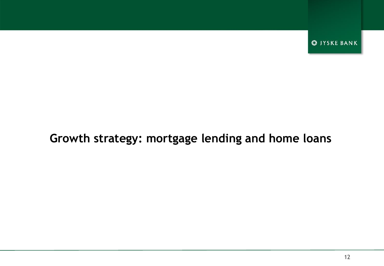**S** JYSKE BANK

### **Growth strategy: mortgage lending and home loans**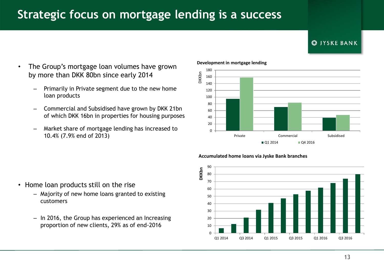# **Strategic focus on mortgage lending is a success**



- The Group's mortgage loan volumes have grown by more than DKK 80bn since early 2014
	- Primarily in Private segment due to the new home loan products
	- Commercial and Subsidised have grown by DKK 21bn of which DKK 16bn in properties for housing purposes
	- Market share of mortgage lending has increased to 10.4% (7.9% end of 2013)



#### **Development in mortgage lending**

DKKbn





- Home loan products still on the rise
	- Majority of new home loans granted to existing customers
	- In 2016, the Group has experienced an Increasing proportion of new clients, 29% as of end-2016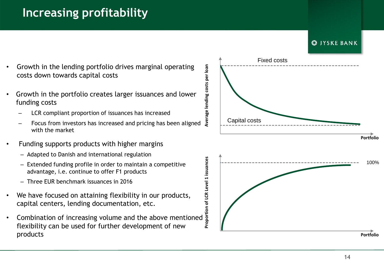# **Increasing profitability**



- Growth in the lending portfolio drives marginal operating costs down towards capital costs
- Growth in the portfolio creates larger issuances and lower funding costs
	- LCR compliant proportion of issuances has increased
	- Focus from investors has increased and pricing has been aligned with the market
- Funding supports products with higher margins
	- Adapted to Danish and international regulation
	- Extended funding profile in order to maintain a competitive advantage, i.e. continue to offer F1 products
	- Three EUR benchmark issuances in 2016
- We have focused on attaining flexibility in our products, capital centers, lending documentation, etc.
- Combination of increasing volume and the above mentioned flexibility can be used for further development of new products

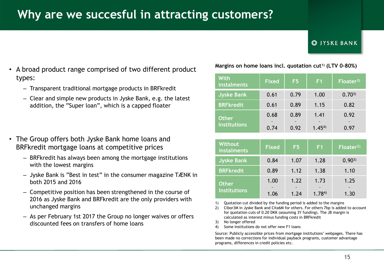# **Why are we succesful in attracting customers?**

#### **S**IYSKE BANK

- A broad product range comprised of two different product types:
	- Transparent traditional mortgage products in BRFkredit
	- Clear and simple new products in Jyske Bank, e.g. the latest addition, the "Super loan", which is a capped floater
- The Group offers both Jyske Bank home loans and BRFkredit mortgage loans at competitive prices
	- BRFkredit has always been among the mortgage institutions with the lowest margins
	- Jyske Bank is "Best in test" in the consumer magazine TÆNK in both 2015 and 2016
	- Competitive position has been strengthened in the course of 2016 as Jyske Bank and BRFkredit are the only providers with unchanged margins
	- As per February 1st 2017 the Group no longer waives or offers discounted fees on transfers of home loans

#### **Margins on home loans incl. quotation cut1) (LTV 0-80%)**

| <b>With</b><br>instalments          | <b>Fixed</b> | F5           | F <sub>1</sub>     | Floater <sup>2</sup> |  |
|-------------------------------------|--------------|--------------|--------------------|----------------------|--|
| <b>Jyske Bank</b>                   | 0.61         | 0.79         | 1.00               | $0.70^{3}$           |  |
| <b>BRFkredit</b>                    | 0.61         | 0.89         | 1.15               | 0.82                 |  |
| <b>Other</b><br><b>Institutions</b> | 0.68<br>0.74 | 0.89<br>0.92 | 1.41<br>$1.45^{4}$ | 0.92<br>0.97         |  |

| <b>Without</b><br>instalments       | <b>Fixed</b> | F <sub>5</sub> | F <sub>1</sub>     | Floater <sup>2</sup> |  |
|-------------------------------------|--------------|----------------|--------------------|----------------------|--|
| <b>Jyske Bank</b>                   | 0.84         | 1.07           | 1.28               | $0.90^{3}$           |  |
| <b>BRFkredit</b>                    | 0.89         | 1.12           | 1.38               | 1.10                 |  |
| <b>Other</b><br><b>Institutions</b> | 1.00<br>1.06 | 1.22<br>1.74   | 1.73<br>$1.78^{4}$ | 1.25<br>1.30         |  |

- 1) Quotation cut divided by the funding period is added to the margins
- 2) Cibor3M in Jyske Bank and Cita6M for others. For others 7bp is added to account for quotation cuts of 0.20 DKK (assuming 3Y funding). The JB margin is calculated as interest minus funding costs in BRFkredit
- 3) No longer offered
- 4) Some institutions do not offer new F1 loans

Source: Publicly accessible prices from mortgage institutions' webpages. There has been made no corrections for individual payback programs, customer advantage programs, differences in credit policies etc.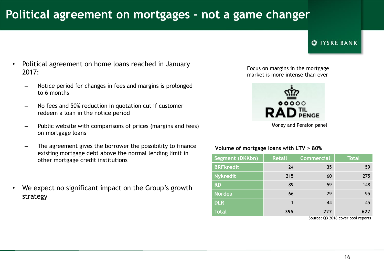# **Political agreement on mortgages – not a game changer**

### **CO IYSKE BANK**

- Political agreement on home loans reached in January 2017:
	- Notice period for changes in fees and margins is prolonged to 6 months
	- No fees and 50% reduction in quotation cut if customer redeem a loan in the notice period
	- Public website with comparisons of prices (margins and fees) on mortgage loans
	- The agreement gives the borrower the possibility to finance existing mortgage debt above the normal lending limit in other mortgage credit institutions
- We expect no significant impact on the Group's growth strategy

Focus on margins in the mortgage market is more intense than ever



Money and Pension panel

#### **Volume of mortgage loans with LTV > 80%**

| Segment (DKKbn)  | <b>Retail</b> | <b>Commercial</b> | <b>Total</b> |  |
|------------------|---------------|-------------------|--------------|--|
| <b>BRFkredit</b> | 24            | 35                | 59           |  |
| <b>Nykredit</b>  | 215           | 60                | 275          |  |
| <b>RD</b>        | 89            | 59                | 148          |  |
| <b>Nordea</b>    | 66            | 29                | 95           |  |
| <b>DLR</b>       | 1             | 44                | 45           |  |
| <b>Total</b>     | 395           | 227               | 622          |  |

Source: Q3 2016 cover pool reports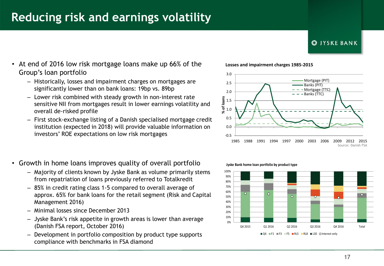### **Reducing risk and earnings volatility**

#### **CO IYSKE BANK**

- At end of 2016 low risk mortgage loans make up 66% of the Group's loan portfolio
	- Historically, losses and impairment charges on mortgages are significantly lower than on bank loans: 19bp vs. 89bp
	- Lower risk combined with steady growth in non-interest rate sensitive NII from mortgages result in lower earnings volatility and overall de-risked profile
	- First stock-exchange listing of a Danish specialised mortgage credit institution (expected in 2018) will provide valuable information on investors' ROE expectations on low risk mortgages
- Growth in home loans improves quality of overall portfolio
	- Majority of clients known by Jyske Bank as volume primarily stems from repatriation of loans previously referred to Totalkredit
	- 85% in credit rating class 1-5 compared to overall average of approx. 65% for bank loans for the retail segment (Risk and Capital Management 2016)
	- Minimal losses since December 2013
	- Jyske Bank's risk appetite in growth areas is lower than average (Danish FSA report, October 2016)
	- Development in portfolio composition by product type supports compliance with benchmarks in FSA diamond





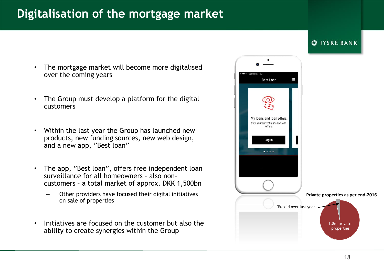## **Digitalisation of the mortgage market**

### The mortgage market will become more digitalised over the coming years

- The Group must develop a platform for the digital customers
- Within the last year the Group has launched new products, new funding sources, new web design, and a new app, "Best loan"
- The app, "Best loan", offers free independent loan surveillance for all homeowners - also noncustomers – a total market of approx. DKK 1,500bn
	- Other providers have focused their digital initiatives on sale of properties
- Initiatives are focused on the customer but also the ability to create synergies within the Group



**S** JYSKE BANK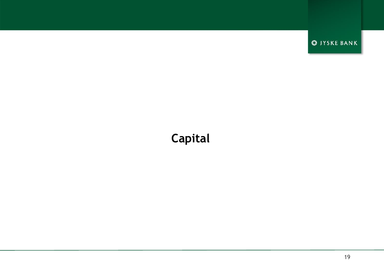**S** JYSKE BANK

# **Capital**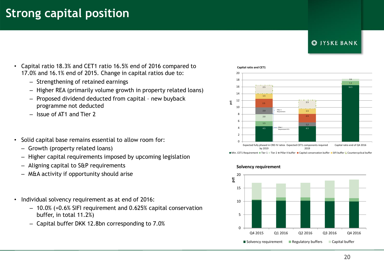# **Strong capital position**

### **CO IYSKE BANK**

- Capital ratio 18.3% and CET1 ratio 16.5% end of 2016 compared to 17.0% and 16.1% end of 2015. Change in capital ratios due to:
	- Strengthening of retained earnings
	- Higher REA (primarily volume growth in property related loans)
	- Proposed dividend deducted from capital new buyback programme not deducted
	- Issue of AT1 and Tier 2
- Solid capital base remains essential to allow room for:
	- Growth (property related loans)
	- Higher capital requirements imposed by upcoming legislation
	- Aligning capital to S&P requirements
	- M&A activity if opportunity should arise
- Individual solvency requirement as at end of 2016:
	- 10.0% (+0.6% SIFI requirement and 0.625% capital conservation buffer, in total 11.2%)
	- Capital buffer DKK 12.8bn corresponding to 7.0%

#### **Capital ratio and CET1**



Min. CET1 Requirement Tier 1 Tier 2 Pillar II buffer Capital conservation buffer SIFI buffer L'Countercyclical buffer



#### **Solvency requirement**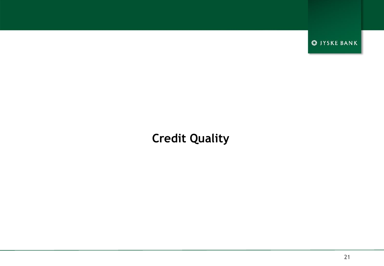**S** JYSKE BANK

# **Credit Quality**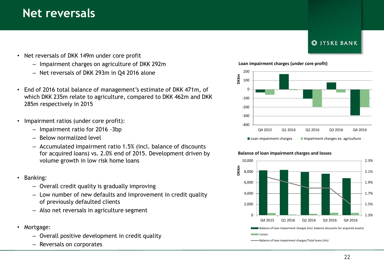### **Net reversals**

- Net reversals of DKK 149m under core profit
	- Impairment charges on agriculture of DKK 292m
	- Net reversals of DKK 293m in Q4 2016 alone
- End of 2016 total balance of management's estimate of DKK 471m, of which DKK 235m relate to agriculture, compared to DKK 462m and DKK 285m respectively in 2015
- Impairment ratios (under core profit):
	- Impairment ratio for 2016 -3bp
	- Below normalized level
	- Accumulated impairment ratio 1.5% (incl. balance of discounts for acquired loans) vs. 2.0% end of 2015. Development driven by volume growth in low risk home loans
- Banking:
	- Overall credit quality is gradually improving
	- Low number of new defaults and improvement in credit quality of previously defaulted clients
	- Also net reversals in agriculture segment
- Mortgage:
	- Overall positive development in credit quality
	- Reversals on corporates





#### **Balance of loan impairment charges and losses**



Balance of loan impairment charges/Total loans (rhs)

### **CO IYSKE BANK**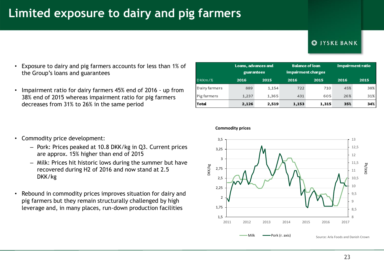# **Limited exposure to dairy and pig farmers**

#### **CO IYSKE BANK**

- Exposure to dairy and pig farmers accounts for less than 1% of the Group's loans and guarantees
- Impairment ratio for dairy farmers 45% end of 2016 up from 38% end of 2015 whereas impairment ratio for pig farmers decreases from 31% to 26% in the same period

|               | Loans, advances and<br>guarantees |       |       | <b>Balance of loan</b><br>impairment charges |      | Impairment ratio |  |
|---------------|-----------------------------------|-------|-------|----------------------------------------------|------|------------------|--|
| DKKm/S        | 2016                              | 2015  | 2016  | 2015                                         | 2016 | 2015             |  |
| Dairy farmers | 889                               | 1,154 | 722   | 710                                          | 45%  | 38%              |  |
| Pig farmers   | 1,237                             | 1,365 | 431   | 605                                          | 26%  | 31%              |  |
| Total         | 2,126                             | 2,519 | 1,153 | 1,315                                        | 35%  | 34%              |  |

- Commodity price development:
	- Pork: Prices peaked at 10.8 DKK/kg in Q3. Current prices are approx. 15% higher than end of 2015
	- Milk: Prices hit historic lows during the summer but have recovered during H2 of 2016 and now stand at 2.5 DKK/kg
- Rebound in commodity prices improves situation for dairy and pig farmers but they remain structurally challenged by high leverage and, in many places, run-down production facilities



#### **Commodity prices**